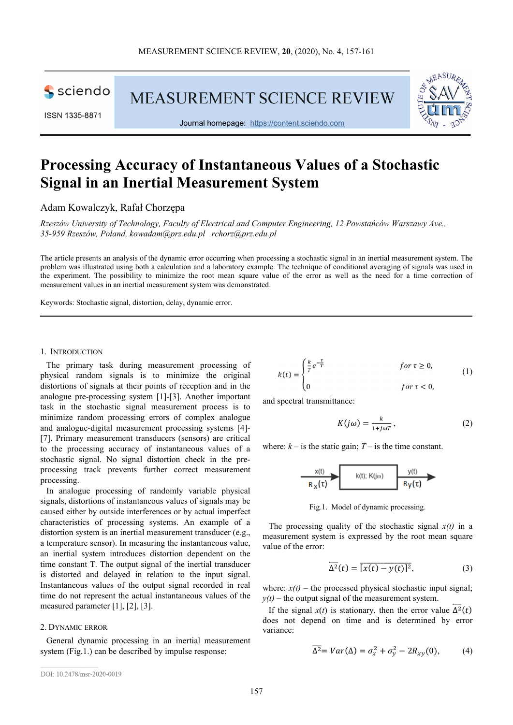

ISSN 1335-8871

**MEASUREMENT SCIENCE REVIEW** 



Journal homepage: https://content.sciendo.com

# **Processing Accuracy of Instantaneous Values of a Stochastic Signal in an Inertial Measurement System**

Adam Kowalczyk, Rafał Chorzępa

*Rzeszów University of Technology, Faculty of Electrical and Computer Engineering, 12 Powstańców Warszawy Ave., 35-959 Rzeszów, Poland, kowadam@prz.edu.pl rchorz@prz.edu.pl* 

The article presents an analysis of the dynamic error occurring when processing a stochastic signal in an inertial measurement system. The problem was illustrated using both a calculation and a laboratory example. The technique of conditional averaging of signals was used in the experiment. The possibility to minimize the root mean square value of the error as well as the need for a time correction of measurement values in an inertial measurement system was demonstrated.

Keywords: Stochastic signal, distortion, delay, dynamic error.

## 1. INTRODUCTION

The primary task during measurement processing of physical random signals is to minimize the original distortions of signals at their points of reception and in the analogue pre-processing system [1]-[3]. Another important task in the stochastic signal measurement process is to minimize random processing errors of complex analogue and analogue-digital measurement processing systems [4]- [7]. Primary measurement transducers (sensors) are critical to the processing accuracy of instantaneous values of a stochastic signal. No signal distortion check in the preprocessing track prevents further correct measurement processing.

In analogue processing of randomly variable physical signals, distortions of instantaneous values of signals may be caused either by outside interferences or by actual imperfect characteristics of processing systems. An example of a distortion system is an inertial measurement transducer (e.g., a temperature sensor). In measuring the instantaneous value, an inertial system introduces distortion dependent on the time constant T. The output signal of the inertial transducer is distorted and delayed in relation to the input signal. Instantaneous values of the output signal recorded in real time do not represent the actual instantaneous values of the measured parameter [1], [2], [3].

# 2. DYNAMIC ERROR

General dynamic processing in an inertial measurement system (Fig.1.) can be described by impulse response:

$$
k(t) = \begin{cases} \frac{k}{T}e^{-\frac{\tau}{T}} & \text{for } \tau \ge 0, \\ 0 & \text{for } \tau < 0, \end{cases} \tag{1}
$$

and spectral transmittance:

$$
K(j\omega) = \frac{k}{1 + j\omega T},\qquad(2)
$$

where:  $k -$  is the static gain;  $T -$  is the time constant.

$$
\xrightarrow[R\times (t)]{\textstyle\!\!\!\!\!\!\times} \text{ }k(t)\text{; }K(j\omega)
$$

Fig.1. Model of dynamic processing.

The processing quality of the stochastic signal  $x(t)$  in a measurement system is expressed by the root mean square value of the error:

$$
\overline{\Delta^2}(t) = \overline{[x(t) - y(t)]^2},\tag{3}
$$

where:  $x(t)$  – the processed physical stochastic input signal;  $y(t)$  – the output signal of the measurement system.

If the signal *x*(*t*) is stationary, then the error value  $\Delta^2(t)$ does not depend on time and is determined by error variance:

$$
\overline{\Delta^2} = Var(\Delta) = \sigma_x^2 + \sigma_y^2 - 2R_{xy}(0), \qquad (4)
$$

DOI: 10.2478/msr-2020-0019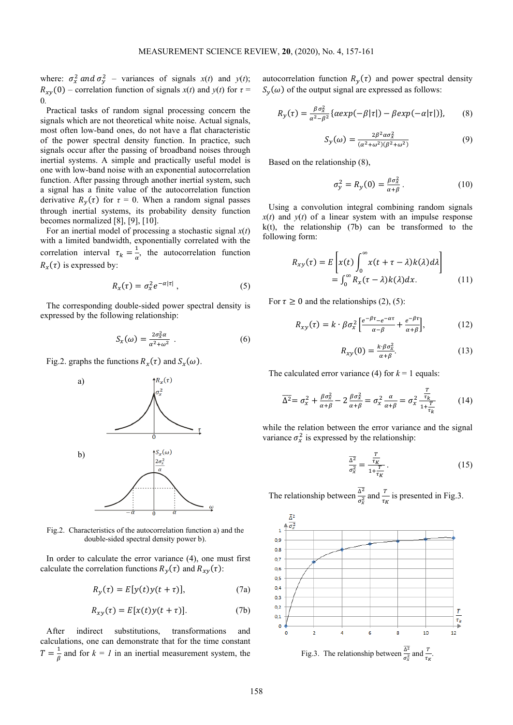where:  $\sigma_x^2$  and  $\sigma_y^2$  – variances of signals *x*(*t*) and *y*(*t*);  $R_{xy}(0)$  – correlation function of signals  $x(t)$  and  $y(t)$  for  $\tau =$ 0*.*

Practical tasks of random signal processing concern the signals which are not theoretical white noise. Actual signals, most often low-band ones, do not have a flat characteristic of the power spectral density function. In practice, such signals occur after the passing of broadband noises through inertial systems. A simple and practically useful model is one with low-band noise with an exponential autocorrelation function. After passing through another inertial system, such a signal has a finite value of the autocorrelation function derivative  $R_y(\tau)$  for  $\tau = 0$ . When a random signal passes through inertial systems, its probability density function becomes normalized [8], [9], [10].

For an inertial model of processing a stochastic signal *x*(*t*) with a limited bandwidth, exponentially correlated with the correlation interval  $\tau_k = \frac{1}{\alpha}$  $\frac{1}{\alpha}$ , the autocorrelation function  $R_x(\tau)$  is expressed by:

$$
R_{x}(\tau) = \sigma_{x}^{2} e^{-\alpha |\tau|}, \qquad (5)
$$

The corresponding double-sided power spectral density is expressed by the following relationship:

$$
S_{\chi}(\omega) = \frac{2\sigma_{\chi}^2 \alpha}{\alpha^2 + \omega^2} \tag{6}
$$

Fig.2. graphs the functions  $R_x(\tau)$  and  $S_x(\omega)$ .



Fig.2. Characteristics of the autocorrelation function a) and the double-sided spectral density power b).

In order to calculate the error variance (4), one must first calculate the correlation functions  $R_y(\tau)$  and  $R_{xy}(\tau)$ :

$$
R_{y}(\tau) = E[y(t)y(t+\tau)], \qquad (7a)
$$

$$
R_{xy}(\tau) = E[x(t)y(t+\tau)].
$$
 (7b)

After indirect substitutions, transformations and calculations, one can demonstrate that for the time constant  $T = \frac{1}{\beta}$  and for  $k = 1$  in an inertial measurement system, the autocorrelation function  $R_y(\tau)$  and power spectral density  $S_y(\omega)$  of the output signal are expressed as follows:

$$
R_{y}(\tau) = \frac{\beta \sigma_{x}^{2}}{\alpha^{2} - \beta^{2}} \{ \alpha exp(-\beta |\tau|) - \beta exp(-\alpha |\tau|) \}, \qquad (8)
$$

$$
S_{y}(\omega) = \frac{2\beta^2 \alpha \sigma_{x}^2}{(\alpha^2 + \omega^2)(\beta^2 + \omega^2)}
$$
(9)

Based on the relationship (8),

$$
\sigma_y^2 = R_y(0) = \frac{\beta \sigma_x^2}{\alpha + \beta} \,. \tag{10}
$$

Using a convolution integral combining random signals  $x(t)$  and  $y(t)$  of a linear system with an impulse response  $k(t)$ , the relationship (7b) can be transformed to the following form:

$$
R_{xy}(\tau) = E\left[x(t)\int_0^\infty x(t+\tau-\lambda)k(\lambda)d\lambda\right]
$$
  
= 
$$
\int_0^\infty R_x(\tau-\lambda)k(\lambda)dx.
$$
 (11)

For  $\tau \geq 0$  and the relationships (2), (5):

$$
R_{xy}(\tau) = k \cdot \beta \sigma_x^2 \left[ \frac{e^{-\beta \tau} - e^{-\alpha \tau}}{\alpha - \beta} + \frac{e^{-\beta \tau}}{\alpha + \beta} \right],\tag{12}
$$

$$
R_{xy}(0) = \frac{k \cdot \beta \sigma_x^2}{\alpha + \beta}.
$$
 (13)

The calculated error variance (4) for  $k = 1$  equals:

$$
\overline{\Delta^2} = \sigma_x^2 + \frac{\beta \sigma_x^2}{\alpha + \beta} - 2 \frac{\beta \sigma_x^2}{\alpha + \beta} = \sigma_x^2 \frac{\alpha}{\alpha + \beta} = \sigma_x^2 \frac{\frac{T}{\tau_k}}{1 + \frac{T}{\tau_k}}
$$
(14)

while the relation between the error variance and the signal variance  $\sigma_x^2$  is expressed by the relationship:

$$
\frac{\overline{\Delta^2}}{\sigma_x^2} = \frac{\frac{T}{\tau_K}}{1 + \frac{T}{\tau_K}}.
$$
 (15)

The relationship between  $\frac{\overline{\Delta^2}}{-2}$  $\frac{\Delta^2}{\sigma_x^2}$  and  $\frac{T}{\tau_K}$  is presented in Fig.3.

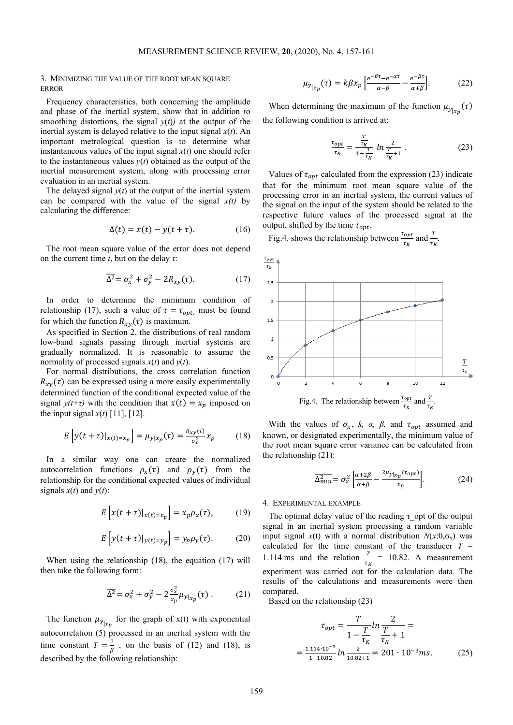# 3. MINIMIZING THE VALUE OF THE ROOT MEAN SQUARE ERROR

Frequency characteristics, both concerning the amplitude and phase of the inertial system, show that in addition to smoothing distortions, the signal  $y(t)$  at the output of the inertial system is delayed relative to the input signal  $x(t)$ . An important metrological question is to determine what instantaneous values of the input signal *x*(*t*) one should refer to the instantaneous values  $y(t)$  obtained as the output of the inertial measurement system, along with processing error evaluation in an inertial system.

The delayed signal  $v(t)$  at the output of the inertial system can be compared with the value of the signal  $x(t)$  by calculating the difference:

$$
\Delta(t) = x(t) - y(t + \tau). \tag{16}
$$

The root mean square value of the error does not depend on the current time *t*, but on the delay *τ*:

$$
\overline{\Delta^2} = \sigma_x^2 + \sigma_y^2 - 2R_{xy}(\tau). \tag{17}
$$

In order to determine the minimum condition of relationship (17), such a value of  $\tau = \tau_{opt.}$  must be found for which the function  $R_{xy}(\tau)$  is maximum.

As specified in Section 2, the distributions of real random low-band signals passing through inertial systems are gradually normalized. It is reasonable to assume the normality of processed signals  $x(t)$  and  $y(t)$ .

For normal distributions, the cross correlation function  $R_{xy}(\tau)$  can be expressed using a more easily experimentally determined function of the conditional expected value of the signal  $y(t+\tau)$  with the condition that  $x(t) = x_p$  imposed on the input signal  $x(t)$  [11], [12].

$$
E\left[y(t+\tau)|_{x(t)=x_p}\right] = \mu_{y|x_p}(\tau) = \frac{R_{xy}(\tau)}{\sigma_x^2} x_p \tag{18}
$$

In a similar way one can create the normalized autocorrelation functions  $\rho_x(\tau)$  and  $\rho_y(\tau)$  from the relationship for the conditional expected values of individual signals  $x(t)$  and  $y(t)$ :

$$
E\left[x(t+\tau)|_{x(t)=x_p}\right] = x_p \rho_x(\tau), \qquad (19)
$$

$$
E\left[y(t+\tau)|_{y(t)=y_p}\right] = y_p \rho_y(\tau). \tag{20}
$$

When using the relationship (18), the equation (17) will then take the following form:

$$
\overline{\Delta^2} = \sigma_x^2 + \sigma_y^2 - 2\frac{\sigma_x^2}{x_p} \mu_{y|x_p}(\tau) \,. \tag{21}
$$

The function  $\mu_{y|x_p}$  for the graph of  $x(t)$  with exponential autocorrelation (5) processed in an inertial system with the time constant  $T = \frac{1}{\beta}$ , on the basis of (12) and (18), is described by the following relationship:

$$
\mu_{y_{\vert x_p}}(\tau) = k\beta x_p \left[ \frac{e^{-\beta \tau} - e^{-\alpha \tau}}{\alpha - \beta} - \frac{e^{-\beta \tau}}{\alpha + \beta} \right].
$$
 (22)

When determining the maximum of the function  $\mu_{y|x_p}(\tau)$ the following condition is arrived at:

$$
\frac{\tau_{opt}}{\tau_K} = \frac{\frac{T}{\tau_K}}{1 - \frac{T}{\tau_K}} \ln \frac{2}{\frac{T}{\tau_K + 1}} \tag{23}
$$

Values of  $\tau_{\text{ont}}$  calculated from the expression (23) indicate that for the minimum root mean square value of the processing error in an inertial system, the current values of the signal on the input of the system should be related to the respective future values of the processed signal at the output, shifted by the time  $\tau_{opt}$ .

Fig.4. shows the relationship between  $\frac{\tau_{opt}}{\tau_K}$  and  $\frac{T}{\tau_K}$ .



With the values of  $\sigma_x$ , *k, a, β,* and  $\tau_{opt}$  assumed and known, or designated experimentally, the minimum value of the root mean square error variance can be calculated from the relationship (21):

$$
\overline{\Delta_{min}^2} = \sigma_x^2 \left[ \frac{\alpha + 2\beta}{\alpha + \beta} - \frac{2\mu_{y|x_p}(\tau_{opt})}{x_p} \right].
$$
 (24)

### 4. EXPERIMENTAL EXAMPLE

The optimal delay value of the reading  $\tau$  opt of the output signal in an inertial system processing a random variable input signal  $x(t)$  with a normal distribution  $N(x:0,\sigma_x)$  was calculated for the time constant of the transducer *T* = 1.114 ms and the relation  $\frac{T}{\tau_K}$  = 10.82. A measurement experiment was carried out for the calculation data. The results of the calculations and measurements were then compared.

Based on the relationship (23)

$$
\tau_{opt} = \frac{T}{1 - \frac{T}{\tau_K}} \ln \frac{2}{\tau_K + 1} =
$$
  
= 
$$
\frac{1.114 \cdot 10^{-3}}{1 - 10.82} \ln \frac{2}{10.82 + 1} = 201 \cdot 10^{-3} \text{ms.}
$$
 (25)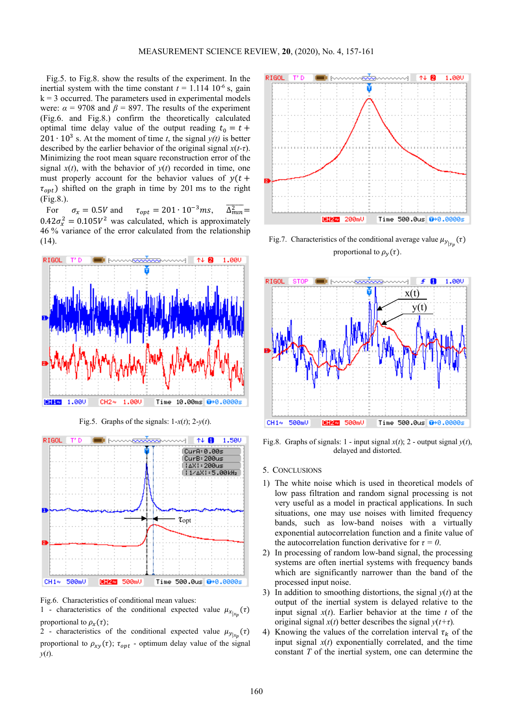Fig.5. to Fig.8. show the results of the experiment. In the inertial system with the time constant  $t = 1.114 \, 10^{-6}$  s, gain  $k = 3$  occurred. The parameters used in experimental models were:  $\alpha = 9708$  and  $\beta = 897$ . The results of the experiment (Fig.6. and Fig.8.) confirm the theoretically calculated optimal time delay value of the output reading  $t_0 = t +$ 201 ⋅ 10<sup>3</sup> s. At the moment of time *t*, the signal  $y(t)$  is better described by the earlier behavior of the original signal *x*(*t-τ*). Minimizing the root mean square reconstruction error of the signal  $x(t)$ , with the behavior of  $y(t)$  recorded in time, one must properly account for the behavior values of  $y(t +$  $\tau_{opt}$ ) shifted on the graph in time by 201 ms to the right (Fig.8.).

For  $\sigma_x = 0.5V$  and  $\tau_{opt} = 201 \cdot 10^{-3}$  ms,  $\Delta_{min}^2$  =  $0.42\sigma_x^2 = 0.105V^2$  was calculated, which is approximately 46 % variance of the error calculated from the relationship (14).



Fig.5. Graphs of the signals:  $1-x(t)$ ;  $2-y(t)$ .



Fig.6. Characteristics of conditional mean values:

1 - characteristics of the conditional expected value  $\mu_{x_{\vert x_p}}(\tau)$ proportional to  $\rho_x(\tau)$ ;

2 - characteristics of the conditional expected value  $\mu_{y|x_p}(\tau)$ proportional to  $\rho_{xy}(\tau)$ ;  $\tau_{opt}$  - optimum delay value of the signal *y*(*t*).



Fig.7. Characteristics of the conditional average value  $\mu_{y|y_p}(\tau)$ proportional to  $\rho_y(\tau)$ .



Fig.8. Graphs of signals: 1 - input signal  $x(t)$ ; 2 - output signal  $y(t)$ , delayed and distorted.

### 5. CONCLUSIONS

- 1) The white noise which is used in theoretical models of low pass filtration and random signal processing is not very useful as a model in practical applications. In such situations, one may use noises with limited frequency bands, such as low-band noises with a virtually exponential autocorrelation function and a finite value of the autocorrelation function derivative for  $\tau = 0$ .
- 2) In processing of random low-band signal, the processing systems are often inertial systems with frequency bands which are significantly narrower than the band of the processed input noise.
- 3) In addition to smoothing distortions, the signal *y*(*t*) at the output of the inertial system is delayed relative to the input signal  $x(t)$ . Earlier behavior at the time  $t$  of the original signal  $x(t)$  better describes the signal  $y(t+\tau)$ .
- 4) Knowing the values of the correlation interval  $\tau_k$  of the input signal  $x(t)$  exponentially correlated, and the time constant *T* of the inertial system, one can determine the